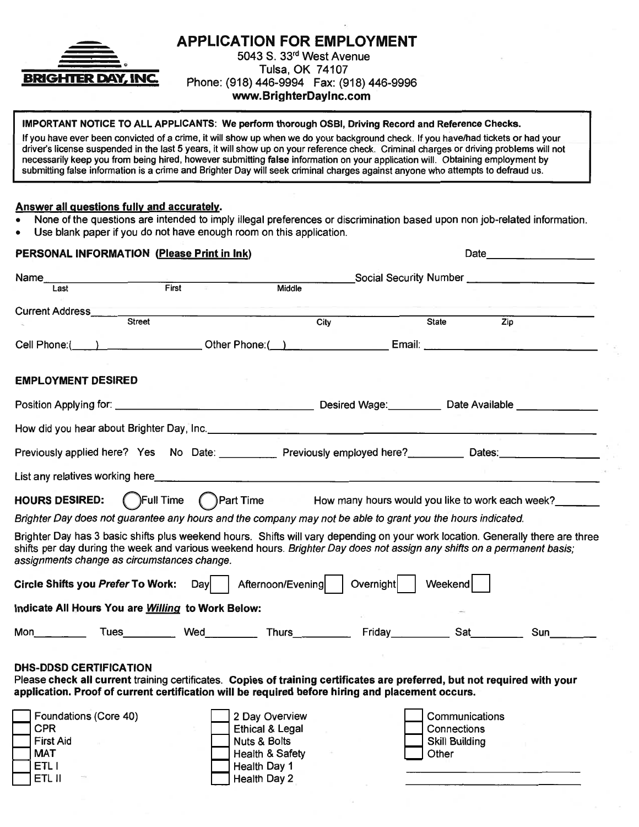

**APPLICATION FOR EMPLOYMENT** 5043 S. 33rd West Avenue

Tulsa, OK 74107 Phone: (918) 446-9994 Fax: (918) 446-9996 www.BrighterDayInc.com

#### IMPORTANT NOTICE TO ALL APPLICANTS: We perform thorough OSBI, Driving Record and Reference Checks.

If you have ever been convicted of a crime, it will show up when we do your background check. If you have/had tickets or had your driver's license suspended in the last 5 years, it will show up on your reference check. Criminal charges or driving problems will not necessarily keep you from being hired, however submitting false information on your application will. Obtaining employment by submitting false information is a crime and Brighter Day will seek criminal charges against anyone who attempts to defraud us.

#### Answer all questions fully and accurately.

- None of the questions are intended to imply illegal preferences or discrimination based upon non job-related information.
- Use blank paper if you do not have enough room on this application.

| PERSONAL INFORMATION (Please Print in Ink)                                                                                                                                                                                                                                                                |                                                                                                                            | Date                                                                       |                                                                 |  |
|-----------------------------------------------------------------------------------------------------------------------------------------------------------------------------------------------------------------------------------------------------------------------------------------------------------|----------------------------------------------------------------------------------------------------------------------------|----------------------------------------------------------------------------|-----------------------------------------------------------------|--|
| Name                                                                                                                                                                                                                                                                                                      |                                                                                                                            |                                                                            | Social Security Number _________________________                |  |
| $F$ irst<br>Last                                                                                                                                                                                                                                                                                          | Middle                                                                                                                     |                                                                            |                                                                 |  |
| <u> The Common Section of the Common Section of the Common Section of the Common Section of the Common Section of</u><br>Current Address<br>Street                                                                                                                                                        |                                                                                                                            |                                                                            |                                                                 |  |
|                                                                                                                                                                                                                                                                                                           |                                                                                                                            | $\overline{City}$                                                          | $\overline{Zip}$<br>State                                       |  |
| Cell Phone: ( ) Cher Phone: ( ) Cher Phone: Email: Comparison Cell Phone: ( ) Cher Phone: ( ) Cher Phone: Comparison Comparison Comparison Comparison Comparison Comparison Comparison Comparison Comparison Comparison Compar                                                                            |                                                                                                                            |                                                                            |                                                                 |  |
| <b>EMPLOYMENT DESIRED</b>                                                                                                                                                                                                                                                                                 |                                                                                                                            |                                                                            |                                                                 |  |
|                                                                                                                                                                                                                                                                                                           |                                                                                                                            |                                                                            |                                                                 |  |
|                                                                                                                                                                                                                                                                                                           |                                                                                                                            |                                                                            |                                                                 |  |
| Previously applied here? Yes No Date: Previously employed here? Dates: Dates: Dates:                                                                                                                                                                                                                      |                                                                                                                            |                                                                            |                                                                 |  |
|                                                                                                                                                                                                                                                                                                           |                                                                                                                            |                                                                            |                                                                 |  |
| <b>HOURS DESIRED:</b>                                                                                                                                                                                                                                                                                     |                                                                                                                            | () Full Time () Part Time How many hours would you like to work each week? |                                                                 |  |
| Brighter Day does not guarantee any hours and the company may not be able to grant you the hours indicated.                                                                                                                                                                                               |                                                                                                                            |                                                                            |                                                                 |  |
| Brighter Day has 3 basic shifts plus weekend hours. Shifts will vary depending on your work location. Generally there are three<br>shifts per day during the week and various weekend hours. Brighter Day does not assign any shifts on a permanent basis;<br>assignments change as circumstances change. |                                                                                                                            |                                                                            |                                                                 |  |
| <b>Circle Shifts you Prefer To Work:</b>                                                                                                                                                                                                                                                                  |                                                                                                                            | Day   Afternoon/Evening   Overnight   Weekend                              |                                                                 |  |
| Indicate All Hours You are Willing to Work Below:                                                                                                                                                                                                                                                         |                                                                                                                            |                                                                            |                                                                 |  |
| Mon ______ Tues__________ Wed___________ Thurs____________ Friday___________ Sat__________                                                                                                                                                                                                                |                                                                                                                            |                                                                            |                                                                 |  |
| <b>DHS-DDSD CERTIFICATION</b><br>Please check all current training certificates. Copies of training certificates are preferred, but not required with your<br>application. Proof of current certification will be required before hiring and placement occurs.                                            |                                                                                                                            |                                                                            |                                                                 |  |
| Foundations (Core 40)<br><b>CPR</b><br><b>First Aid</b><br><b>MAT</b><br>ETL I<br>ETI II                                                                                                                                                                                                                  | 2 Day Overview<br><b>Ethical &amp; Legal</b><br><b>Nuts &amp; Bolts</b><br>Health & Safety<br>Health Day 1<br>Health Day 2 |                                                                            | Communications<br>Connections<br><b>Skill Building</b><br>Other |  |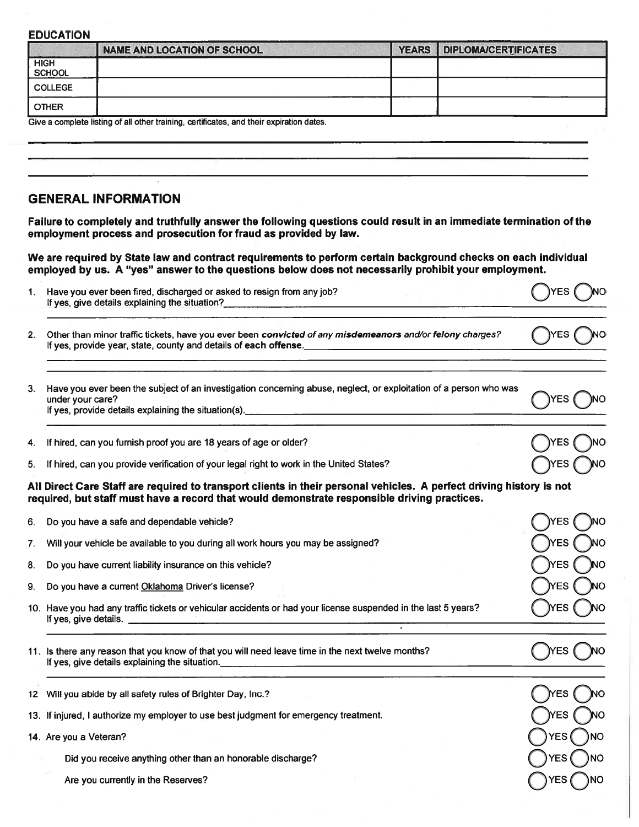|                              | <b>NAME AND LOCATION OF SCHOOL</b>                                                                                                                                                                                               | <b>YEARS</b> | <b>DIPLOMA/CERTIFICATES</b> |        |
|------------------------------|----------------------------------------------------------------------------------------------------------------------------------------------------------------------------------------------------------------------------------|--------------|-----------------------------|--------|
| <b>HIGH</b><br><b>SCHOOL</b> |                                                                                                                                                                                                                                  |              |                             |        |
| <b>COLLEGE</b>               |                                                                                                                                                                                                                                  |              |                             |        |
| <b>OTHER</b>                 |                                                                                                                                                                                                                                  |              |                             |        |
|                              | Give a complete listing of all other training, certificates, and their expiration dates.                                                                                                                                         |              |                             |        |
|                              |                                                                                                                                                                                                                                  |              |                             |        |
|                              |                                                                                                                                                                                                                                  |              |                             |        |
|                              |                                                                                                                                                                                                                                  |              |                             |        |
|                              |                                                                                                                                                                                                                                  |              |                             |        |
|                              | <b>GENERAL INFORMATION</b>                                                                                                                                                                                                       |              |                             |        |
|                              | Failure to completely and truthfully answer the following questions could result in an immediate termination of the                                                                                                              |              |                             |        |
|                              | employment process and prosecution for fraud as provided by law.                                                                                                                                                                 |              |                             |        |
|                              | We are required by State law and contract requirements to perform certain background checks on each individual<br>employed by us. A "yes" answer to the questions below does not necessarily prohibit your employment.           |              |                             |        |
|                              | Have you ever been fired, discharged or asked to resign from any job?                                                                                                                                                            |              |                             | YES.   |
|                              | If yes, give details explaining the situation?<br>The same structure of the situation of the situation of the structure of the structure of the structure of the structure of the structure of the structure of the structure of |              |                             |        |
|                              |                                                                                                                                                                                                                                  |              |                             |        |
|                              | Other than minor traffic tickets, have you ever been convicted of any misdemeanors and/or felony charges?<br>If yes, provide year, state, county and details of each offense.                                                    |              |                             | )YES । |
| 1.<br>2.                     |                                                                                                                                                                                                                                  |              |                             |        |
| under your care?             | 3. Have you ever been the subject of an investigation concerning abuse, neglect, or exploitation of a person who was                                                                                                             |              |                             |        |

5. If hired, can you provide verification of your legal right to work in the United States?

All Direct Care Staff are required to transport clients in their personal vehicles. A perfect driving history is not<br>required, but staff must have a record that would demonstrate responsible driving practices.

)YES *(* 

**TNO** 

| 6.               | Do you have a safe and dependable vehicle?                                                                                                                                                                                                                             | YES                |
|------------------|------------------------------------------------------------------------------------------------------------------------------------------------------------------------------------------------------------------------------------------------------------------------|--------------------|
| 7.               | Will your vehicle be available to you during all work hours you may be assigned?                                                                                                                                                                                       | <b>YES</b>         |
| 8.               | Do you have current liability insurance on this vehicle?                                                                                                                                                                                                               | YES                |
| 9.               | Do you have a current Oklahoma Driver's license?                                                                                                                                                                                                                       | YES                |
|                  | 10. Have you had any traffic tickets or vehicular accidents or had your license suspended in the last 5 years?<br>If yes, give details.<br>the control of the control of the control of the control of the control of<br>$\mathbf{r}$                                  | <b>NES</b>         |
|                  | 11. Is there any reason that you know of that you will need leave time in the next twelve months?<br>If yes, give details explaining the situation.<br>the contract of the contract of the contract of the contract of the contract of the contract of the contract of | ΈS                 |
| 12 <sup>12</sup> | Will you abide by all safety rules of Brighter Day, Inc.?                                                                                                                                                                                                              | ΈS                 |
|                  | 13. If injured, I authorize my employer to use best judgment for emergency treatment.                                                                                                                                                                                  | <b>NES</b>         |
|                  | 14. Are you a Veteran?                                                                                                                                                                                                                                                 | <b>YES</b><br>) NO |
|                  | Did you receive anything other than an honorable discharge?                                                                                                                                                                                                            | YES                |
|                  | Are you currently in the Reserves?                                                                                                                                                                                                                                     | YES                |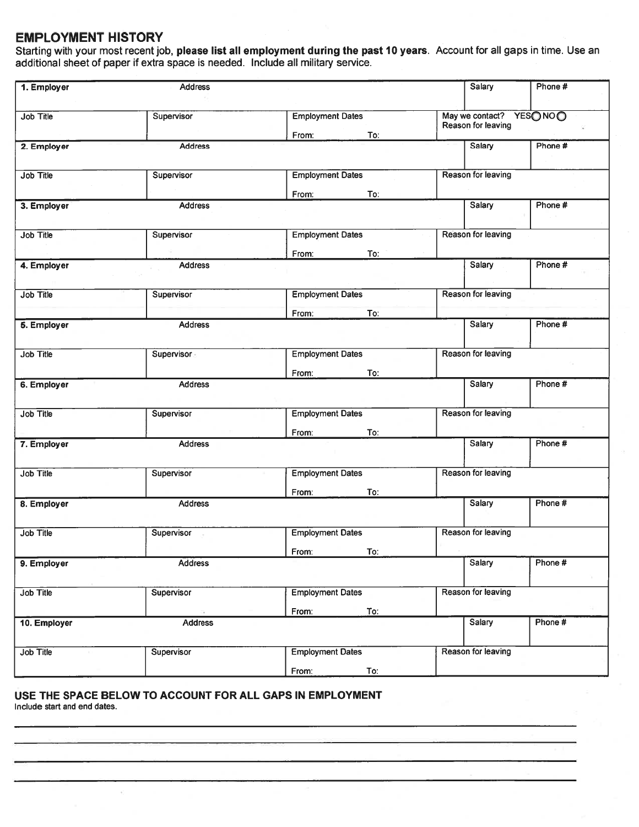### **EMPLOYMENT HISTORY**

Starting with your most recent job, please list all employment during the past 10 years. Account for all gaps in time. Use an additional sheet of paper if extra space is needed. Include all military service.

| 1. Employer      | <b>Address</b> |                                  |     | Salary                                         | Phone # |
|------------------|----------------|----------------------------------|-----|------------------------------------------------|---------|
| Job Title        | Supervisor     | <b>Employment Dates</b><br>From: | To: | May we contact? YESO NOO<br>Reason for leaving |         |
| 2. Employer      | <b>Address</b> |                                  |     | <b>Salary</b>                                  | Phone # |
| Job Title        | Supervisor     | <b>Employment Dates</b>          |     | Reason for leaving                             |         |
| 3. Employer      | <b>Address</b> | From:                            | To: | <b>Salary</b>                                  | Phone # |
| Job Title        | Supervisor     | <b>Employment Dates</b>          |     | Reason for leaving                             |         |
| 4. Employer      | <b>Address</b> | From:                            | To: | Salary                                         | Phone # |
| Job Title        | Supervisor     | <b>Employment Dates</b>          |     | Reason for leaving                             |         |
| 5. Employer      | <b>Address</b> | From:                            | To: | Salary                                         | Phone # |
| Job Title        | Supervisor     | <b>Employment Dates</b>          |     | Reason for leaving                             |         |
| 6. Employer      | <b>Address</b> | From:                            | To: | <b>Salary</b>                                  | Phone#  |
| <b>Job Title</b> | Supervisor     | <b>Employment Dates</b>          |     | Reason for leaving                             |         |
| 7. Employer      | <b>Address</b> | From:                            | To: | Salary                                         | Phone # |
| <b>Job Title</b> | Supervisor     | <b>Employment Dates</b>          |     | Reason for leaving                             |         |
| 8. Employer      | <b>Address</b> | From:                            | To: | <b>Salary</b>                                  | Phone # |
| Job Title        | Supervisor     | <b>Employment Dates</b>          |     | Reason for leaving                             |         |
| 9. Employer      | <b>Address</b> | From:                            | To: | Salary                                         | Phone # |
| Job Title        | Supervisor     | <b>Employment Dates</b>          |     | Reason for leaving                             |         |
| 10. Employer     | <b>Address</b> | From:                            | To: | Salary                                         | Phone # |
| Job Title        | Supervisor     | <b>Employment Dates</b>          |     | Reason for leaving                             |         |
|                  |                | From:                            | To: |                                                |         |

### USE THE SPACE BELOW TO ACCOUNT FOR ALL GAPS IN EMPLOYMENT

Include start and end dates.

 $\bar{\nu}$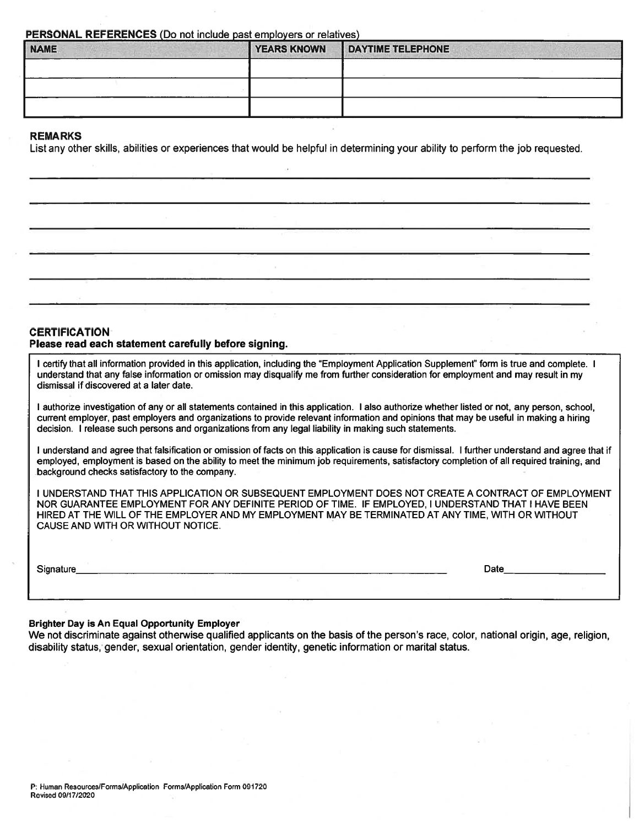PERSONAL REFERENCES (Do not include past employers or relatives)

| <b>NAME</b> | <b>YEARS KNOWN</b> | <b>DAYTIME TELEPHONE</b> |  |
|-------------|--------------------|--------------------------|--|
|             |                    |                          |  |
|             |                    |                          |  |
|             |                    |                          |  |

#### **REMARKS**

List any other skills, abilities or experiences that would be helpful in determining your ability to perform the job requested.

#### **CERTIFICATION** Please read each statement carefully before signing.

I certify that all information provided in this application, including the "Employment Application Supplement" form is true and complete. I understand that any false information or omission may disqualify me from further consideration for employment and may result in my dismissal if discovered at a later date.

I authorize investigation of any or all statements contained in this application. I also authorize whether listed or not, any person, school, current employer, past employers and organizations to provide relevant information and opinions that may be useful in making a hiring decision. I release such persons and organizations from any legal liability in making such statements.

I understand and agree that falsification or omission of facts on this application is cause for dismissal. I further understand and agree that if employed, employment is based on the ability to meet the minimum job requirements, satisfactory completion of all required training, and background checks satisfactory to the company.

I UNDERSTAND THAT THIS APPLICATION OR SUBSEQUENT EMPLOYMENT DOES NOT CREATE A CONTRACT OF EMPLOYMENT NOR GUARANTEE EMPLOYMENT FOR ANY DEFINITE PERIOD OF TIME. IF EMPLOYED, I UNDERSTAND THAT I HAVE BEEN HIRED AT THE WILL OF THE EMPLOYER AND MY EMPLOYMENT MAY BE TERMINATED AT ANY TIME. WITH OR WITHOUT CAUSE AND WITH OR WITHOUT NOTICE.

| Signature |
|-----------|
|           |

Date

#### **Brighter Day is An Equal Opportunity Employer**

We not discriminate against otherwise qualified applicants on the basis of the person's race, color, national origin, age, religion, disability status, gender, sexual orientation, gender identity, genetic information or marital status.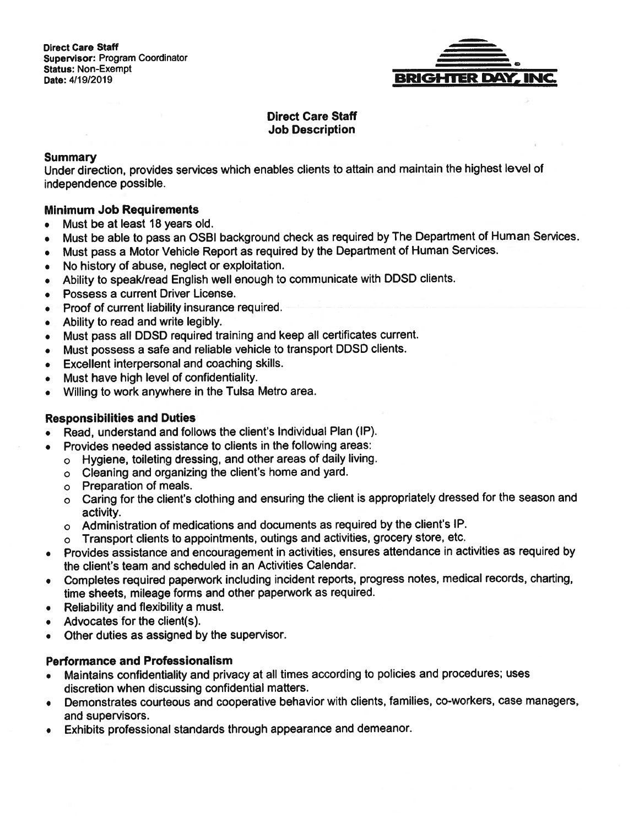

### **Direct Care Staff Job Description**

#### **Summary**

Under direction, provides services which enables clients to attain and maintain the highest level of independence possible.

### **Minimum Job Requirements**

- Must be at least 18 years old.  $\bullet$
- Must be able to pass an OSBI background check as required by The Department of Human Services.  $\bullet$
- Must pass a Motor Vehicle Report as required by the Department of Human Services.
- No history of abuse, neglect or exploitation.  $\bullet$
- Ability to speak/read English well enough to communicate with DDSD clients.
- Possess a current Driver License.
- Proof of current liability insurance required.
- Ability to read and write legibly.  $\bullet$
- Must pass all DDSD required training and keep all certificates current.  $\bullet$
- Must possess a safe and reliable vehicle to transport DDSD clients.  $\bullet$
- Excellent interpersonal and coaching skills.  $\bullet$
- Must have high level of confidentiality.  $\bullet$
- Willing to work anywhere in the Tulsa Metro area.  $\bullet$

### **Responsibilities and Duties**

- Read, understand and follows the client's Individual Plan (IP).  $\bullet$
- Provides needed assistance to clients in the following areas:  $\bullet$ 
	- o Hygiene, toileting dressing, and other areas of daily living.
	- o Cleaning and organizing the client's home and yard.
	- o Preparation of meals.
	- o Caring for the client's clothing and ensuring the client is appropriately dressed for the season and activity.
	- o Administration of medications and documents as required by the client's IP.
	- o Transport clients to appointments, outings and activities, grocery store, etc.
- Provides assistance and encouragement in activities, ensures attendance in activities as required by  $\bullet$ the client's team and scheduled in an Activities Calendar.
- Completes required paperwork including incident reports, progress notes, medical records, charting, time sheets, mileage forms and other paperwork as required.
- Reliability and flexibility a must.  $\bullet$
- Advocates for the client(s).
- Other duties as assigned by the supervisor.  $\bullet$

### **Performance and Professionalism**

- Maintains confidentiality and privacy at all times according to policies and procedures; uses  $\bullet$ discretion when discussing confidential matters.
- Demonstrates courteous and cooperative behavior with clients, families, co-workers, case managers,  $\bullet$ and supervisors.
- Exhibits professional standards through appearance and demeanor.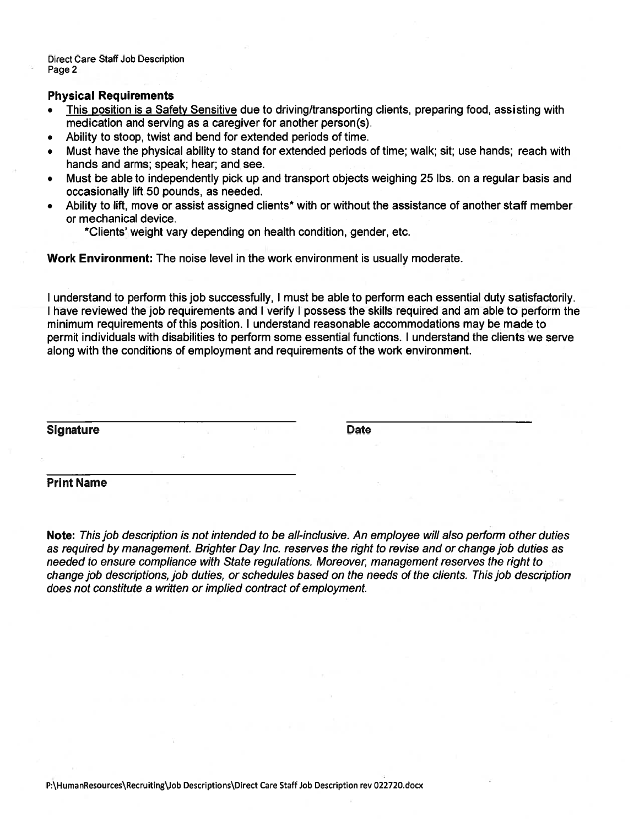**Direct Care Staff Job Description** Page 2

#### **Physical Requirements**

- This position is a Safety Sensitive due to driving/transporting clients, preparing food, assisting with medication and serving as a caregiver for another person(s).
- Ability to stoop, twist and bend for extended periods of time.  $\bullet$
- Must have the physical ability to stand for extended periods of time: walk; sit; use hands; reach with hands and arms; speak; hear; and see.
- Must be able to independently pick up and transport objects weighing 25 lbs. on a regular basis and  $\bullet$ occasionally lift 50 pounds, as needed.
- Ability to lift, move or assist assigned clients\* with or without the assistance of another staff member  $\bullet$ or mechanical device.

\*Clients' weight vary depending on health condition, gender, etc.

Work Environment: The noise level in the work environment is usually moderate.

I understand to perform this job successfully, I must be able to perform each essential duty satisfactorily. I have reviewed the job requirements and I verify I possess the skills required and am able to perform the minimum requirements of this position. I understand reasonable accommodations may be made to permit individuals with disabilities to perform some essential functions. I understand the clients we serve along with the conditions of employment and requirements of the work environment.

**Signature** 

**Date** 

### **Print Name**

Note: This job description is not intended to be all-inclusive. An employee will also perform other duties as required by management. Brighter Day Inc. reserves the right to revise and or change job duties as needed to ensure compliance with State regulations. Moreover, management reserves the right to change job descriptions, job duties, or schedules based on the needs of the clients. This job description does not constitute a written or implied contract of employment.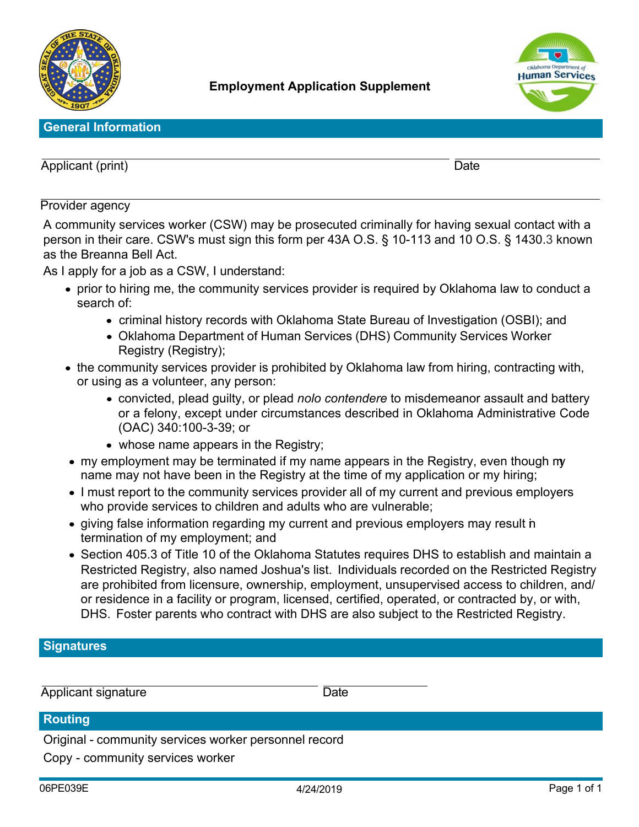



### **General Information**

Applicant (print) Date

### Provider agency

A community services worker (CSW) may be prosecuted criminally for having sexual contact with a person in their care. CSW's must sign this form per 43A O.S. § 10-113 and 10 O.S. § 1430.3 known as the Breanna Bell Act.

As I apply for a job as a CSW, I understand:

- prior to hiring me, the community services provider is required by Oklahoma law to conduct a search of:
	- criminal history records with Oklahoma State Bureau of Investigation (OSBI); and
	- Oklahoma Department of Human Services (DHS) Community Services Worker Registry (Registry);
- the community services provider is prohibited by Oklahoma law from hiring, contracting with, or using as a volunteer, any person:
	- convicted, plead guilty, or plead *nolo contendere* to misdemeanor assault and battery or a felony, except under circumstances described in Oklahoma Administrative Code (OAC) 340:100-3-39; or
	- whose name appears in the Registry;
- my employment may be terminated if my name appears in the Registry, even though my name may not have been in the Registry at the time of my application or my hiring;
- I must report to the community services provider all of my current and previous employers who provide services to children and adults who are vulnerable;
- giving false information regarding my current and previous employers may result in termination of my employment; and
- Section 405.3 of Title 10 of the Oklahoma Statutes requires DHS to establish and maintain a Restricted Registry, also named Joshua's list. Individuals recorded on the Restricted Registry are prohibited from licensure, ownership, employment, unsupervised access to children, and/ or residence in a facility or program, licensed, certified, operated, or contracted by, or with, DHS. Foster parents who contract with DHS are also subject to the Restricted Registry.

## **Signatures**

Applicant signature Date

### **Routing**

Original - community services worker personnel record

Copy - community services worker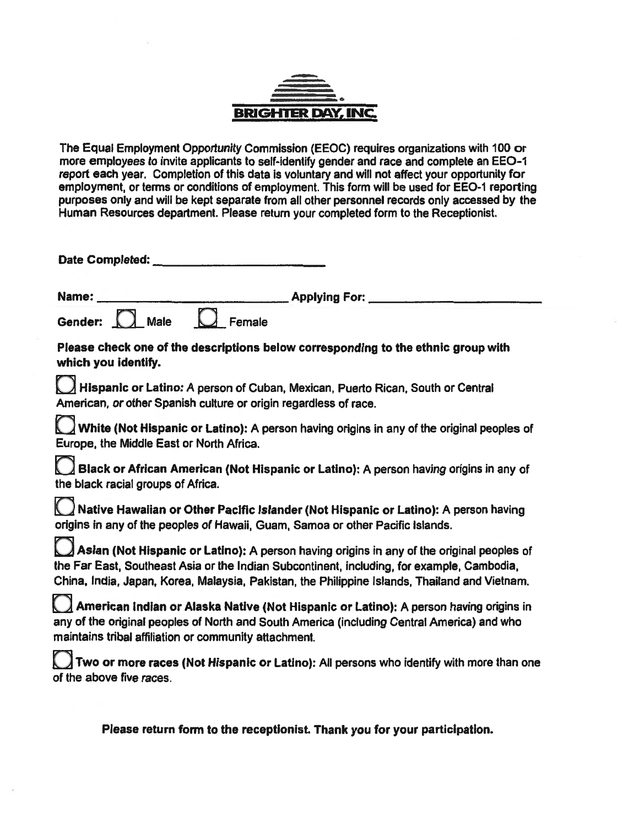

The Equal Employment Opportunity Commission (EEOC) requires organizations with 100 or more employees to invite applicants to self-identify gender and race and complete an EEO-1 report each year. Completion of this data is voluntary and will not affect your opportunity for employment, or terms or conditions of employment. This form will be used for EEO-1 reporting purposes only and will be kept separate from all other personnel records only accessed by the Human Resources department. Please return your completed form to the Receptionist.

| Date Completed:                          |                                                                                                                                                                                                                                                                                          |  |
|------------------------------------------|------------------------------------------------------------------------------------------------------------------------------------------------------------------------------------------------------------------------------------------------------------------------------------------|--|
| Name:                                    | <b>Applying For:</b>                                                                                                                                                                                                                                                                     |  |
| Gender: <b>A</b><br><b>Male</b>          | Female                                                                                                                                                                                                                                                                                   |  |
| which you identify.                      | Please check one of the descriptions below corresponding to the ethnic group with                                                                                                                                                                                                        |  |
|                                          | Hispanic or Latino: A person of Cuban, Mexican, Puerto Rican, South or Central<br>American, or other Spanish culture or origin regardless of race.                                                                                                                                       |  |
| Europe, the Middle East or North Africa. | White (Not Hispanic or Latino): A person having origins in any of the original peoples of                                                                                                                                                                                                |  |
| the black racial groups of Africa.       | Black or African American (Not Hispanic or Latino): A person having origins in any of                                                                                                                                                                                                    |  |
|                                          | $\bigcup$ Native Hawaiian or Other Pacific Islander (Not Hispanic or Latino): A person having<br>origins in any of the peoples of Hawaii, Guam, Samoa or other Pacific Islands.                                                                                                          |  |
| $\cup$                                   | Asian (Not Hispanic or Latino): A person having origins in any of the original peoples of<br>the Far East, Southeast Asia or the Indian Subcontinent, including, for example, Cambodia,<br>China, India, Japan, Korea, Malaysia, Pakistan, the Philippine Islands, Thailand and Vietnam. |  |
|                                          | American Indian or Alaska Native (Not Hispanic or Latino): A person having origins in<br>any of the original peoples of North and South America (including Central America) and who<br>maintains tribal affiliation or community attachment.                                             |  |
| of the above five races.                 | Two or more races (Not Hispanic or Latino): All persons who identify with more than one                                                                                                                                                                                                  |  |

Please return form to the receptionist. Thank you for your participation.